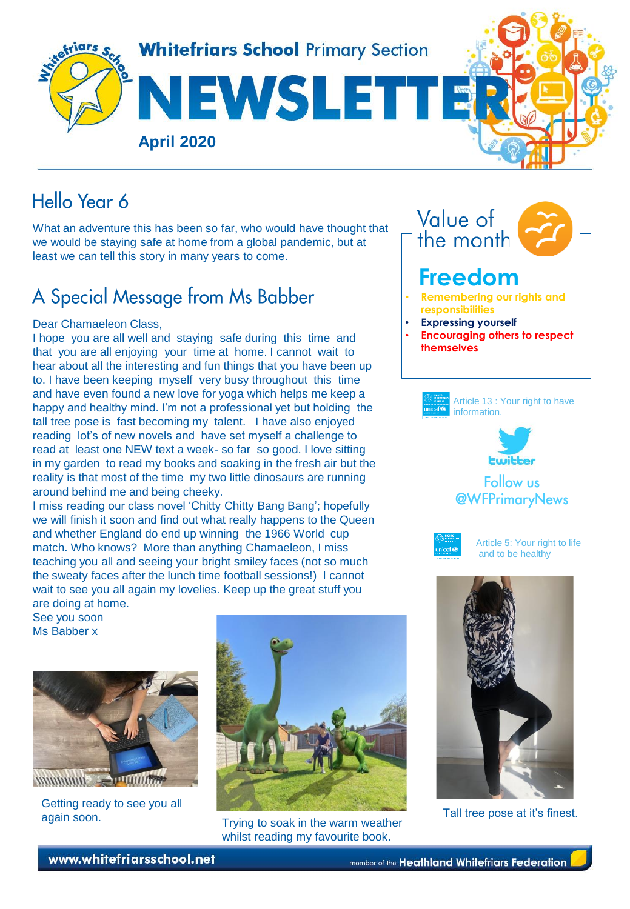

## Hello Year 6

What an adventure this has been so far, who would have thought that we would be staying safe at home from a global pandemic, but at least we can tell this story in many years to come.

# A Special Message from Ms Babber

#### Dear Chamaeleon Class,

I hope you are all well and staying safe during this time and that you are all enjoying your time at home. I cannot wait to hear about all the interesting and fun things that you have been up to. I have been keeping myself very busy throughout this time and have even found a new love for yoga which helps me keep a happy and healthy mind. I'm not a professional yet but holding the tall tree pose is fast becoming my talent. I have also enjoyed reading lot's of new novels and have set myself a challenge to read at least one NEW text a week- so far so good. I love sitting in my garden to read my books and soaking in the fresh air but the reality is that most of the time my two little dinosaurs are running around behind me and being cheeky.

I miss reading our class novel 'Chitty Chitty Bang Bang'; hopefully we will finish it soon and find out what really happens to the Queen and whether England do end up winning the 1966 World cup match. Who knows? More than anything Chamaeleon, I miss teaching you all and seeing your bright smiley faces (not so much the sweaty faces after the lunch time football sessions!) I cannot wait to see you all again my lovelies. Keep up the great stuff you are doing at home.

See you soon Ms Babber x



Getting ready to see you all again soon.<br>again soon. The sook in the were weeken. Tall tree pose at it's finest.



Trying to soak in the warm weather whilst reading my favourite book.











Article 5: Your right to life and to be healthy

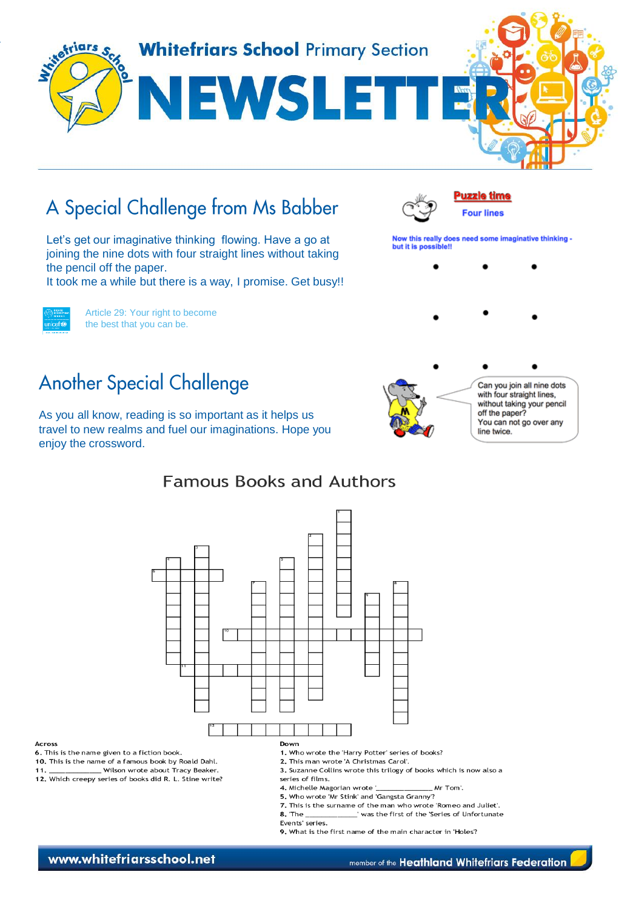

# A Special Challenge from Ms Babber

Let's get our imaginative thinking flowing. Have a go at joining the nine dots with four straight lines without taking the pencil off the paper.

It took me a while but there is a way, I promise. Get busy!!



Article 29: Your right to become the best that you can be.

## **Another Special Challenge**

As you all know, reading is so important as it helps us travel to new realms and fuel our imaginations. Hope you enjoy the crossword.

#### **Famous Books and Authors**



Across

6. This is the name given to a fiction book.

10. This is the name of a famous book by Roald Dahl.

Wilson wrote about Tracy Beaker. 11.

12. Which creepy series of books did R. L. Stine write?

- 1. Who wrote the 'Harry Potter' series of books?
- 2. This man wrote 'A Christmas Carol'.
- 3. Suzanne Collins wrote this trilogy of books which is now also a series of films.
- 4. Michelle Magorian wrote '. Mr Tom'.
- 5. Who wrote 'Mr Stink' and 'Gangsta Granny'?
- 7. This is the surname of the man who wrote 'Romeo and Juliet'.  $8.$  The  $_$ was the first of the 'Series of Unfortunate
- Events' series.
- 9. What is the first name of the main character in 'Holes'?

www.whitefriarsschool.net

member of the Heathland Whitefriars Federation



**Puzzle time** 

**Four lines** 

Now this really does need some imaginative thinking -

but it is possible!!